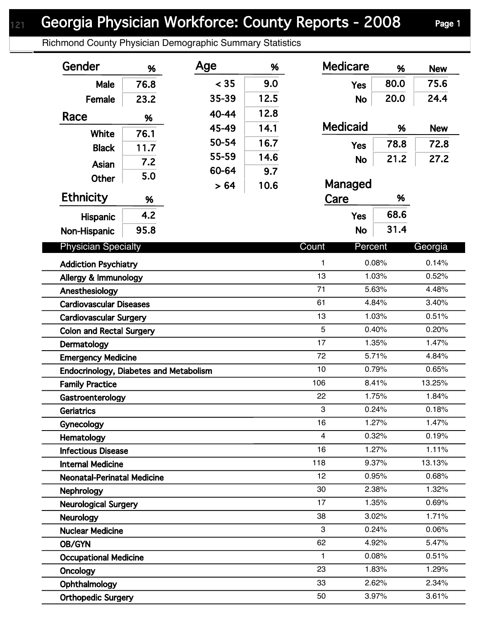## Georgia Physician Workforce: County Reports - 2008 Page 1

Richmond County Physician Demographic Summary Statistics

| Gender                                 | %    | Age   | %    | <b>Medicare</b>  | %           | <b>New</b>     |
|----------------------------------------|------|-------|------|------------------|-------------|----------------|
| Male                                   | 76.8 | < 35  | 9.0  | <b>Yes</b>       | 80.0        | 75.6           |
| Female                                 | 23.2 | 35-39 | 12.5 | <b>No</b>        | 20.0        | 24.4           |
| Race                                   |      | 40-44 | 12.8 |                  |             |                |
|                                        | %    | 45-49 | 14.1 | <b>Medicaid</b>  | %           | <b>New</b>     |
| White                                  | 76.1 | 50-54 | 16.7 |                  | 78.8        | 72.8           |
| <b>Black</b>                           | 11.7 | 55-59 | 14.6 | <b>Yes</b>       |             |                |
| Asian                                  | 7.2  | 60-64 | 9.7  | <b>No</b>        | 21.2        | 27.2           |
| <b>Other</b>                           | 5.0  | > 64  | 10.6 | Managed          |             |                |
| <b>Ethnicity</b>                       | %    |       |      | Care             | %           |                |
| <b>Hispanic</b>                        | 4.2  |       |      | <b>Yes</b>       | 68.6        |                |
| Non-Hispanic                           | 95.8 |       |      | <b>No</b>        | 31.4        |                |
|                                        |      |       |      |                  |             |                |
| <b>Physician Specialty</b>             |      |       |      | Count<br>Percent |             | Georgia        |
| <b>Addiction Psychiatry</b>            |      |       |      | 1                | 0.08%       | 0.14%          |
| Allergy & Immunology                   |      |       |      | 13               | 1.03%       | 0.52%          |
| Anesthesiology                         |      |       |      | 71               | 5.63%       | 4.48%<br>3.40% |
| <b>Cardiovascular Diseases</b>         |      |       |      |                  | 61<br>4.84% |                |
| <b>Cardiovascular Surgery</b>          |      |       |      | 13               | 1.03%       | 0.51%          |
| <b>Colon and Rectal Surgery</b>        |      |       |      | 5                | 0.40%       | 0.20%          |
| Dermatology                            |      |       |      | 17               | 1.35%       | 1.47%          |
| <b>Emergency Medicine</b>              |      |       |      | 72               | 5.71%       | 4.84%          |
| Endocrinology, Diabetes and Metabolism |      |       |      | 10               | 0.79%       | 0.65%          |
| <b>Family Practice</b>                 |      |       |      | 106              | 8.41%       | 13.25%         |
| Gastroenterology                       |      |       |      | 22               | 1.75%       | 1.84%          |
| Geriatrics                             |      |       |      | 3                | 0.24%       | 0.18%          |
| Gynecology                             |      |       |      | 16               | 1.27%       | 1.47%          |
| Hematology                             |      |       |      | 4                | 0.32%       | 0.19%          |
| <b>Infectious Disease</b>              |      |       |      | 16               | 1.27%       | 1.11%          |
| <b>Internal Medicine</b>               |      |       |      | 118              | 9.37%       | 13.13%         |
| <b>Neonatal-Perinatal Medicine</b>     |      |       |      | 12               | 0.95%       | 0.68%          |
| <b>Nephrology</b>                      |      |       |      | 30<br>17         | 2.38%       | 1.32%          |
| <b>Neurological Surgery</b>            |      |       |      |                  | 1.35%       | 0.69%          |
| <b>Neurology</b>                       |      |       |      | 38               | 3.02%       | 1.71%          |
| <b>Nuclear Medicine</b>                |      |       |      | 3                | 0.24%       | 0.06%          |
| OB/GYN                                 |      |       |      | 62               | 4.92%       | 5.47%          |
| <b>Occupational Medicine</b>           |      |       |      | 1                | 0.08%       | 0.51%          |
| Oncology                               |      |       |      | 23               | 1.83%       | 1.29%          |
| Ophthalmology                          |      |       |      | 33               | 2.62%       | 2.34%          |
| <b>Orthopedic Surgery</b>              |      |       |      | 50               | 3.97%       | 3.61%          |